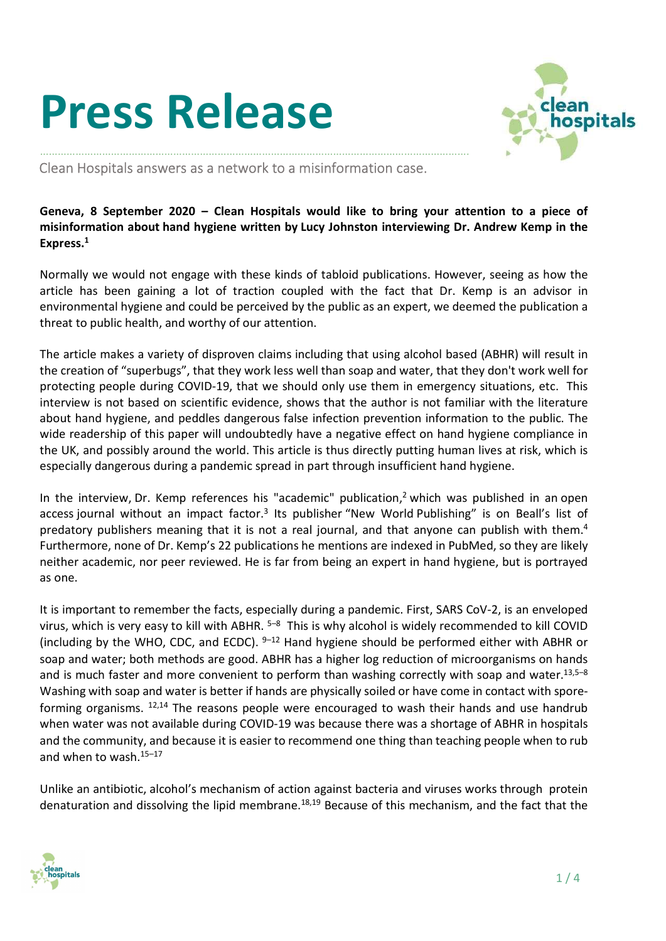## Press Release



………………………………………………………………………………………………………………………………. Clean Hospitals answers as a network to a misinformation case.

Geneva, 8 September 2020 – Clean Hospitals would like to bring your attention to a piece of misinformation about hand hygiene written by Lucy Johnston interviewing Dr. Andrew Kemp in the Express.<sup>1</sup>

Normally we would not engage with these kinds of tabloid publications. However, seeing as how the article has been gaining a lot of traction coupled with the fact that Dr. Kemp is an advisor in environmental hygiene and could be perceived by the public as an expert, we deemed the publication a threat to public health, and worthy of our attention.

The article makes a variety of disproven claims including that using alcohol based (ABHR) will result in the creation of "superbugs", that they work less well than soap and water, that they don't work well for protecting people during COVID-19, that we should only use them in emergency situations, etc. This interview is not based on scientific evidence, shows that the author is not familiar with the literature about hand hygiene, and peddles dangerous false infection prevention information to the public. The wide readership of this paper will undoubtedly have a negative effect on hand hygiene compliance in the UK, and possibly around the world. This article is thus directly putting human lives at risk, which is especially dangerous during a pandemic spread in part through insufficient hand hygiene.

In the interview, Dr. Kemp references his "academic" publication,<sup>2</sup> which was published in an open access journal without an impact factor.<sup>3</sup> Its publisher "New World Publishing" is on Beall's list of predatory publishers meaning that it is not a real journal, and that anyone can publish with them.<sup>4</sup> Furthermore, none of Dr. Kemp's 22 publications he mentions are indexed in PubMed, so they are likely neither academic, nor peer reviewed. He is far from being an expert in hand hygiene, but is portrayed as one.

It is important to remember the facts, especially during a pandemic. First, SARS CoV-2, is an enveloped virus, which is very easy to kill with ABHR.  $5-8$  This is why alcohol is widely recommended to kill COVID (including by the WHO, CDC, and ECDC).  $9-12$  Hand hygiene should be performed either with ABHR or soap and water; both methods are good. ABHR has a higher log reduction of microorganisms on hands and is much faster and more convenient to perform than washing correctly with soap and water.<sup>13,5–8</sup> Washing with soap and water is better if hands are physically soiled or have come in contact with sporeforming organisms.  $12,14$  The reasons people were encouraged to wash their hands and use handrub when water was not available during COVID-19 was because there was a shortage of ABHR in hospitals and the community, and because it is easier to recommend one thing than teaching people when to rub and when to wash.<sup>15-17</sup>

Unlike an antibiotic, alcohol's mechanism of action against bacteria and viruses works through protein denaturation and dissolving the lipid membrane.<sup>18,19</sup> Because of this mechanism, and the fact that the

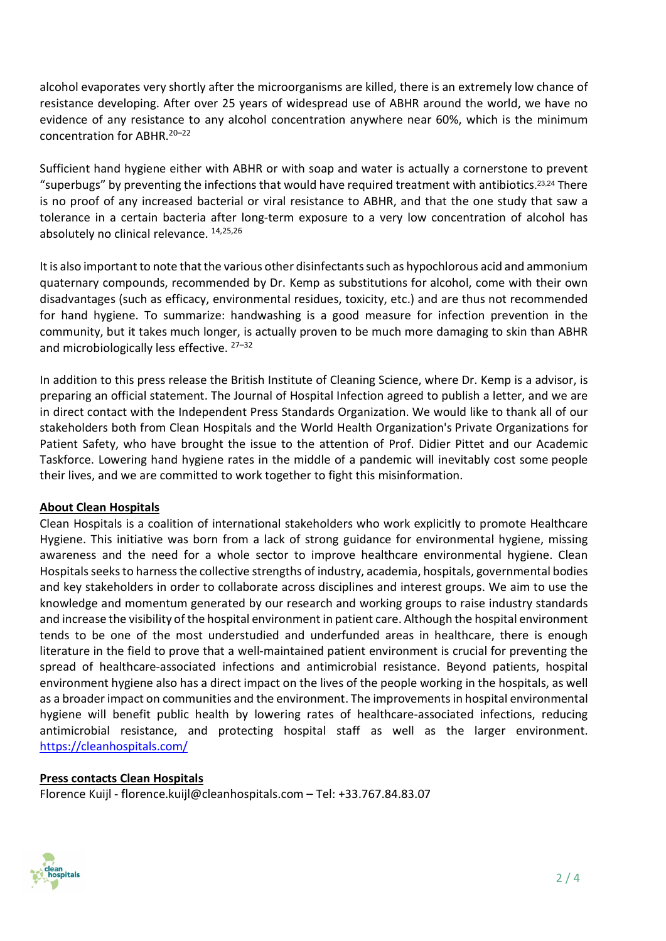alcohol evaporates very shortly after the microorganisms are killed, there is an extremely low chance of resistance developing. After over 25 years of widespread use of ABHR around the world, we have no evidence of any resistance to any alcohol concentration anywhere near 60%, which is the minimum concentration for ABHR.<sup>20-22</sup>

Sufficient hand hygiene either with ABHR or with soap and water is actually a cornerstone to prevent "superbugs" by preventing the infections that would have required treatment with antibiotics. 23,24 There is no proof of any increased bacterial or viral resistance to ABHR, and that the one study that saw a tolerance in a certain bacteria after long-term exposure to a very low concentration of alcohol has absolutely no clinical relevance. 14,25,26

It is also important to note that the various other disinfectants such as hypochlorous acid and ammonium quaternary compounds, recommended by Dr. Kemp as substitutions for alcohol, come with their own disadvantages (such as efficacy, environmental residues, toxicity, etc.) and are thus not recommended for hand hygiene. To summarize: handwashing is a good measure for infection prevention in the community, but it takes much longer, is actually proven to be much more damaging to skin than ABHR and microbiologically less effective.  $27-32$ 

In addition to this press release the British Institute of Cleaning Science, where Dr. Kemp is a advisor, is preparing an official statement. The Journal of Hospital Infection agreed to publish a letter, and we are in direct contact with the Independent Press Standards Organization. We would like to thank all of our stakeholders both from Clean Hospitals and the World Health Organization's Private Organizations for Patient Safety, who have brought the issue to the attention of Prof. Didier Pittet and our Academic Taskforce. Lowering hand hygiene rates in the middle of a pandemic will inevitably cost some people their lives, and we are committed to work together to fight this misinformation.

## About Clean Hospitals

Clean Hospitals is a coalition of international stakeholders who work explicitly to promote Healthcare Hygiene. This initiative was born from a lack of strong guidance for environmental hygiene, missing awareness and the need for a whole sector to improve healthcare environmental hygiene. Clean Hospitals seeks to harness the collective strengths of industry, academia, hospitals, governmental bodies and key stakeholders in order to collaborate across disciplines and interest groups. We aim to use the knowledge and momentum generated by our research and working groups to raise industry standards and increase the visibility of the hospital environment in patient care. Although the hospital environment tends to be one of the most understudied and underfunded areas in healthcare, there is enough literature in the field to prove that a well-maintained patient environment is crucial for preventing the spread of healthcare-associated infections and antimicrobial resistance. Beyond patients, hospital environment hygiene also has a direct impact on the lives of the people working in the hospitals, as well as a broader impact on communities and the environment. The improvements in hospital environmental hygiene will benefit public health by lowering rates of healthcare-associated infections, reducing antimicrobial resistance, and protecting hospital staff as well as the larger environment. https://cleanhospitals.com/

## Press contacts Clean Hospitals

Florence Kuijl - florence.kuijl@cleanhospitals.com – Tel: +33.767.84.83.07

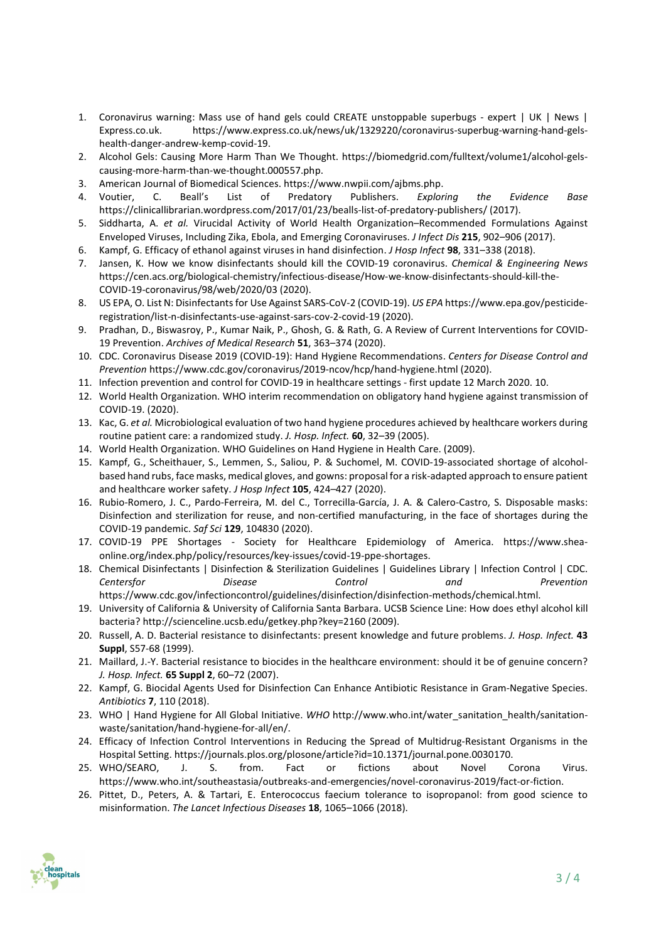- 1. Coronavirus warning: Mass use of hand gels could CREATE unstoppable superbugs expert | UK | News | Express.co.uk. https://www.express.co.uk/news/uk/1329220/coronavirus-superbug-warning-hand-gelshealth-danger-andrew-kemp-covid-19.
- 2. Alcohol Gels: Causing More Harm Than We Thought. https://biomedgrid.com/fulltext/volume1/alcohol-gelscausing-more-harm-than-we-thought.000557.php.
- 3. American Journal of Biomedical Sciences. https://www.nwpii.com/ajbms.php.
- 4. Voutier, C. Beall's List of Predatory Publishers. Exploring the Evidence Base https://clinicallibrarian.wordpress.com/2017/01/23/bealls-list-of-predatory-publishers/ (2017).
- 5. Siddharta, A. et al. Virucidal Activity of World Health Organization–Recommended Formulations Against Enveloped Viruses, Including Zika, Ebola, and Emerging Coronaviruses. J Infect Dis 215, 902–906 (2017).
- 6. Kampf, G. Efficacy of ethanol against viruses in hand disinfection. J Hosp Infect 98, 331–338 (2018).
- 7. Jansen, K. How we know disinfectants should kill the COVID-19 coronavirus. Chemical & Engineering News https://cen.acs.org/biological-chemistry/infectious-disease/How-we-know-disinfectants-should-kill-the-COVID-19-coronavirus/98/web/2020/03 (2020).
- 8. US EPA, O. List N: Disinfectants for Use Against SARS-CoV-2 (COVID-19). US EPA https://www.epa.gov/pesticideregistration/list-n-disinfectants-use-against-sars-cov-2-covid-19 (2020).
- 9. Pradhan, D., Biswasroy, P., Kumar Naik, P., Ghosh, G. & Rath, G. A Review of Current Interventions for COVID-19 Prevention. Archives of Medical Research 51, 363–374 (2020).
- 10. CDC. Coronavirus Disease 2019 (COVID-19): Hand Hygiene Recommendations. Centers for Disease Control and Prevention https://www.cdc.gov/coronavirus/2019-ncov/hcp/hand-hygiene.html (2020).
- 11. Infection prevention and control for COVID-19 in healthcare settings first update 12 March 2020. 10.
- 12. World Health Organization. WHO interim recommendation on obligatory hand hygiene against transmission of COVID-19. (2020).
- 13. Kac, G. et al. Microbiological evaluation of two hand hygiene procedures achieved by healthcare workers during routine patient care: a randomized study. J. Hosp. Infect. 60, 32–39 (2005).
- 14. World Health Organization. WHO Guidelines on Hand Hygiene in Health Care. (2009).
- 15. Kampf, G., Scheithauer, S., Lemmen, S., Saliou, P. & Suchomel, M. COVID-19-associated shortage of alcoholbased hand rubs, face masks, medical gloves, and gowns: proposal for a risk-adapted approach to ensure patient and healthcare worker safety. J Hosp Infect 105, 424-427 (2020).
- 16. Rubio-Romero, J. C., Pardo-Ferreira, M. del C., Torrecilla-García, J. A. & Calero-Castro, S. Disposable masks: Disinfection and sterilization for reuse, and non-certified manufacturing, in the face of shortages during the COVID-19 pandemic. Saf Sci 129, 104830 (2020).
- 17. COVID-19 PPE Shortages Society for Healthcare Epidemiology of America. https://www.sheaonline.org/index.php/policy/resources/key-issues/covid-19-ppe-shortages.
- 18. Chemical Disinfectants | Disinfection & Sterilization Guidelines | Guidelines Library | Infection Control | CDC. Centersfor Disease Control and Prevention https://www.cdc.gov/infectioncontrol/guidelines/disinfection/disinfection-methods/chemical.html.
- 19. University of California & University of California Santa Barbara. UCSB Science Line: How does ethyl alcohol kill bacteria? http://scienceline.ucsb.edu/getkey.php?key=2160 (2009).
- 20. Russell, A. D. Bacterial resistance to disinfectants: present knowledge and future problems. J. Hosp. Infect. 43 Suppl, S57-68 (1999).
- 21. Maillard, J.-Y. Bacterial resistance to biocides in the healthcare environment: should it be of genuine concern? J. Hosp. Infect. 65 Suppl 2, 60–72 (2007).
- 22. Kampf, G. Biocidal Agents Used for Disinfection Can Enhance Antibiotic Resistance in Gram-Negative Species. Antibiotics 7, 110 (2018).
- 23. WHO | Hand Hygiene for All Global Initiative. WHO http://www.who.int/water\_sanitation\_health/sanitationwaste/sanitation/hand-hygiene-for-all/en/.
- 24. Efficacy of Infection Control Interventions in Reducing the Spread of Multidrug-Resistant Organisms in the Hospital Setting. https://journals.plos.org/plosone/article?id=10.1371/journal.pone.0030170.
- 25. WHO/SEARO, J. S. from. Fact or fictions about Novel Corona Virus. https://www.who.int/southeastasia/outbreaks-and-emergencies/novel-coronavirus-2019/fact-or-fiction.
- 26. Pittet, D., Peters, A. & Tartari, E. Enterococcus faecium tolerance to isopropanol: from good science to misinformation. The Lancet Infectious Diseases 18, 1065–1066 (2018).